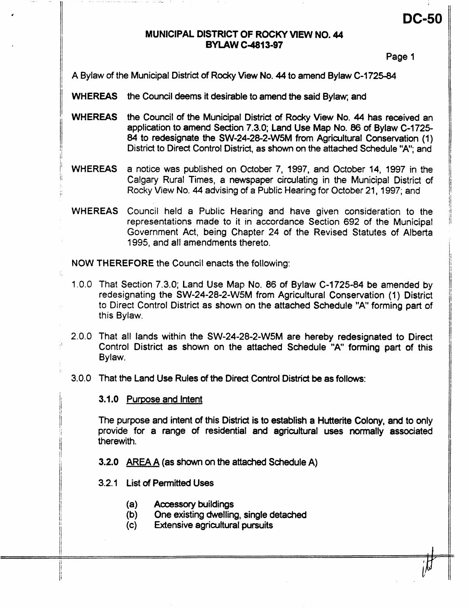# **MUNICIPAL DISTRICT OF ROCKY VIEW NO. 44 BYlAW C4813-97**

11 октобря — процесс в село в село в село в село в село в село в село в село в село в село в село в село в сел<br>После село в село в село в село в село в село в село в село в село в село в село в село в село в село в село в

Page **1** 

**DC-50** 

A Bylaw of the Municipal District of Rocky View No. 44 to amend Bylaw C-1725-84

WHEREAS the Council deems it desirable to amend the said Bylaw; and

- WHEREAS the Council of the Municipal District of Rocky View No. 44 has received an application to amend Section 7.3.0; Land Use Map No. 86 of Bylaw C-1725-84 to redesignate the SW-24-28-2-W5M from Agricultural Conservation (1) District to Direct Control District, as shown on the attached Schedule "A"; and
- <sup>j</sup>' WHEREAS a notice was published **on** October **7, 1997,** and October **14, 1997** in the Calgary Rural Times, a newspaper circulating in the Municipal District of Rocky View No. 44 advising of a Public Hearing for October 21, 1997; and
- WHEREAS Council held a Public Hearing and have given consideration to the representations made to it in accordance Section 692 of the Municipal Government Act, being Chapter 24 of the Revised Statutes of Alberta **1995,** and all amendments thereto.

NOW THEREFORE the Council enacts the following:

- That Section **7.3.0;** Land Use Map **No.** 86 of Bylaw **C-1725-84** be amended by redesignating the S **W-24-28-2-VV5M** from Agricultural Consewation **(1** ) District to Direct Control District as shown **on** the attached Schedule **"A1** forming part of this Bylaw.
- That all lands within the **SW-24-28-2-VV5M** are hereby redesignated to Direct Control District as shown on the attached Schedule "A" forming part of this Bylaw.

That the Land Use Rules of the Direct Control District be as follows:

3.1.0 Purpose and Intent

*C* 

The purpose and intent of this District is to establish a Hutterite Colony, and to only provide for a range of residential and agricultural uses normally associated therewith.

**3.2.0 AREA A** (as **shown** on the attached Schedule A)

- **3.2.1** List of Permitted Uses
	- (a) Accessory buildings
	- (b) One existing dwelling, single detached
	- **Extensive agricultural pursuits**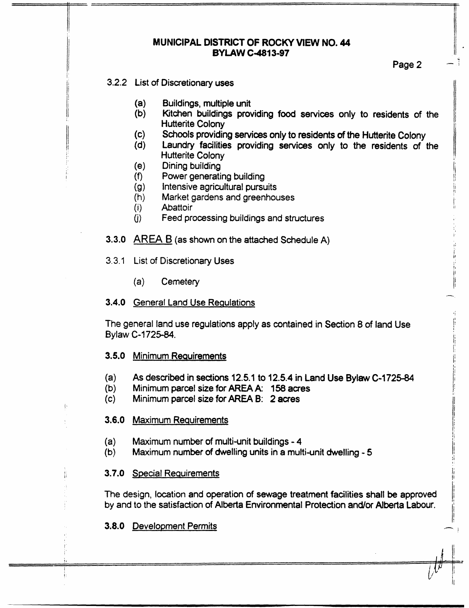### **MUNICIPAL DISTRICT OF ROCKY VIEW NO. 44 BYLAW C-4813-97**

j. I **I,**  I

I, *ir* 

*I'* 

ii i' 1: I;

-.

### 3.2.2 List of Discretionary uses

i'

í,

- Buildings, multiple unit (a)
- Kitchen buildings providing food services only to residents of the (b) Hutterite **Colony**
- **Schools** providing *sewices* **only to residents of** the **Hutterite** Colony  $(c)$
- $(d)$ Laundry facilities providing services only to the residents of the Hutterite Colony
- Dining building (e)
- Power generating building  $(f)$
- $(g)$ Intensive agricultural pursuits
- Market gardens and greenhouses<br>Abattoir  $(h)$
- Abattoir **II** and *I* and *I* and *I* and *I* and *I* and *I* and *I* and *I* and *I* and *I* and *I* and *I* and *I* and *I* and *I* and *I* and *I* and *I* and *I* and *I* and *I* and *I* and *I* and *I* and *I* and *I*  $(i)$
- $(i)$ Feed processing buildings and structures
- **3.3.0** AREA B (as shown **on** the attached Schedule A)
- 3.3.1 List of Discretionary Uses
	- (a) Cemetery

## **3.4.0** General Land Use Reaulations

The general land use regulations apply as contained in Section 8 of land Use 1' Bylaw **C-1725-84.** 

### 3.5.0 Minimum Reauirements

(a)<br>(b) 1 As described in sections **12.5.1** to **12.5.4** in **Land Use Bylaw C-172584** 

 $\mathcal{U}$ 

- **(b)** Minimum **parcel** size for AREA A: **158** acres
- (c) Minimum **parcel** size for AREA 6: 2 acres

# 3.6.0 Maximum Requirements

- **(a)**  Maximum number of multi-unit buildings - 4
- **(b)**  Maximum number of dwelling units in a multi-unit dwelling - 5

# **I** I, /I 3.7.0 **Special** Reauirements I1

The design, location and operation of sewage treatment facilities shall be **approved**  by and to the satisfaction of Alberta Environmental Protection **and/or** Alberta Labour.

# **3.8.0 Development Permits**

/j i

ti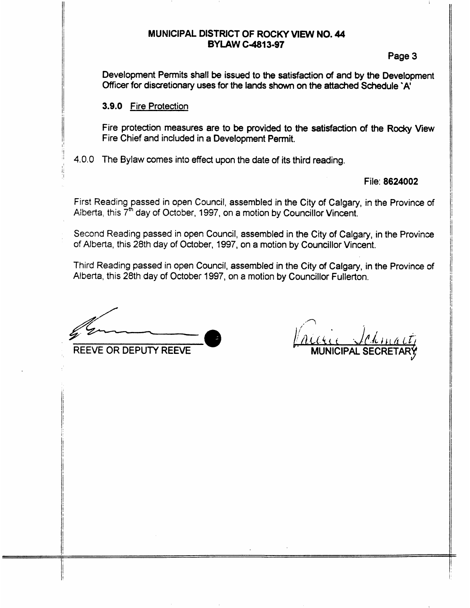### **MUNICIPAL DISTRICT OF ROCKY VIEW NO. 44 BYLAW C4813-97**

II 1980 - An Dùbhlachd an Dùbhlachd an Dùbhlachd an Dùbhlachd an Dùbhlachd an Dùbhlachd an Dùbhlachd an Dùbhla<br>Tachartasach

Page 3

Development Permits **shall be** issued to the satisfadion of **and by** the Development Officer for discretionary uses **for** the **lands shown** on the **attached Schedule 'A'** 

#### **3.9.0 Fire Protection**

'I

Fire protection measures are to **be** provided **to the** satisfaction *of* the **Ro&y View**  Fire Chief and included in a Development Permit.

: 4.0.0 The Bylaw comes into effect upon the date **of its third** reading.

## File: **8624002**

First Reading passed in open Council, assembled in the City *of* Calgary, in the Province of Alberta, this 7\* day of October, 1997, on **a** motion **by** Councillor Vincent.

Second Reading passed in open Council, assembled in the City of Calgary, in the Province of Alberta, this 28th **day** of October, 1997, on a motion **by** Councillor Vincent.

Third Reading passed in open Council, **assembled** in the City of Calgary, in the Province of Alberta, this 28th day of October 1997, on a motion **by** Councillor Fullerton.

*-8* REEVE OR DEPUTY **REEVE** 

*<sup>I</sup>*\*'7 **MUNICIPAL SECRETAR**